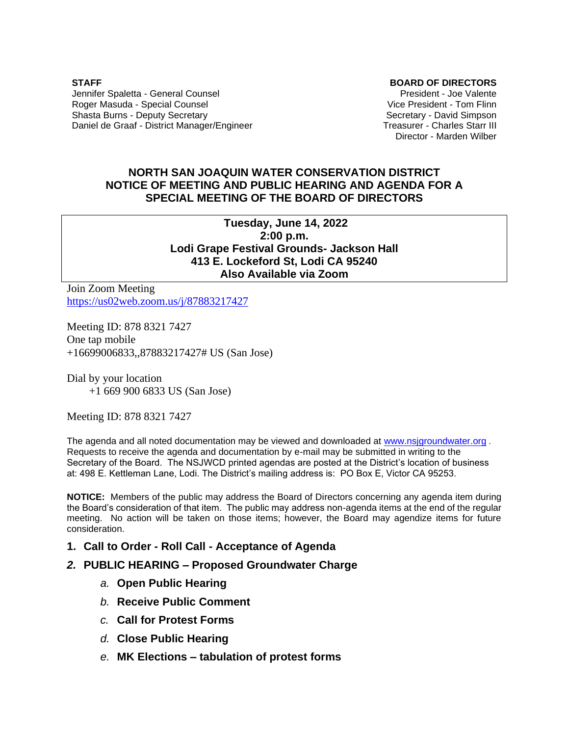**STAFF** Jennifer Spaletta - General Counsel Roger Masuda - Special Counsel Shasta Burns - Deputy Secretary Daniel de Graaf - District Manager/Engineer *0B***BOARD OF DIRECTORS**

President - Joe Valente Vice President - Tom Flinn Secretary - David Simpson Treasurer - Charles Starr III Director - Marden Wilber

## **NORTH SAN JOAQUIN WATER CONSERVATION DISTRICT NOTICE OF MEETING AND PUBLIC HEARING AND AGENDA FOR A SPECIAL MEETING OF THE BOARD OF DIRECTORS**

**Tuesday, June 14, 2022 2:00 p.m. Lodi Grape Festival Grounds- Jackson Hall 413 E. Lockeford St, Lodi CA 95240 Also Available via Zoom**

Join Zoom Meeting <https://us02web.zoom.us/j/87883217427>

Meeting ID: 878 8321 7427 One tap mobile +16699006833,,87883217427# US (San Jose)

Dial by your location +1 669 900 6833 US (San Jose)

Meeting ID: 878 8321 7427

The agenda and all noted documentation may be viewed and downloaded at [www.nsjgroundwater.org](http://www.nsjgroundwater.org/) *.*  Requests to receive the agenda and documentation by e-mail may be submitted in writing to the Secretary of the Board. The NSJWCD printed agendas are posted at the District's location of business at: 498 E. Kettleman Lane, Lodi. The District's mailing address is: PO Box E, Victor CA 95253.

**NOTICE:** Members of the public may address the Board of Directors concerning any agenda item during the Board's consideration of that item. The public may address non-agenda items at the end of the regular meeting. No action will be taken on those items; however, the Board may agendize items for future consideration.

### **1. Call to Order - Roll Call - Acceptance of Agenda**

- *2.* **PUBLIC HEARING – Proposed Groundwater Charge**
	- *a.* **Open Public Hearing**
	- *b.* **Receive Public Comment**
	- *c.* **Call for Protest Forms**
	- *d.* **Close Public Hearing**
	- *e.* **MK Elections – tabulation of protest forms**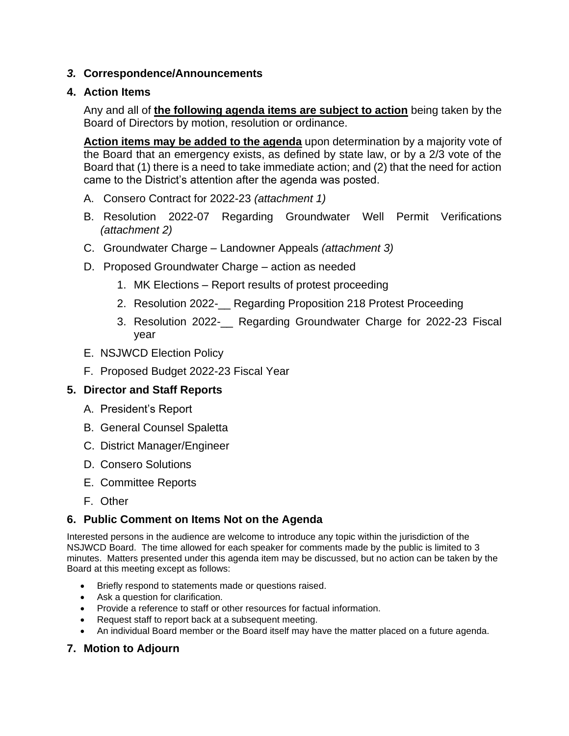## *3.* **Correspondence/Announcements**

## **4. Action Items**

Any and all of **the following agenda items are subject to action** being taken by the Board of Directors by motion, resolution or ordinance.

**Action items may be added to the agenda** upon determination by a majority vote of the Board that an emergency exists, as defined by state law, or by a 2/3 vote of the Board that (1) there is a need to take immediate action; and (2) that the need for action came to the District's attention after the agenda was posted.

- A. Consero Contract for 2022-23 *(attachment 1)*
- B. Resolution 2022-07 Regarding Groundwater Well Permit Verifications *(attachment 2)*
- C. Groundwater Charge Landowner Appeals *(attachment 3)*
- D. Proposed Groundwater Charge action as needed
	- 1. MK Elections Report results of protest proceeding
	- 2. Resolution 2022-\_\_ Regarding Proposition 218 Protest Proceeding
	- 3. Resolution 2022-\_\_ Regarding Groundwater Charge for 2022-23 Fiscal year
- E. NSJWCD Election Policy
- F. Proposed Budget 2022-23 Fiscal Year

# **5. Director and Staff Reports**

- A. President's Report
- B. General Counsel Spaletta
- C. District Manager/Engineer
- D. Consero Solutions
- E. Committee Reports
- F. Other

# **6. Public Comment on Items Not on the Agenda**

Interested persons in the audience are welcome to introduce any topic within the jurisdiction of the NSJWCD Board. The time allowed for each speaker for comments made by the public is limited to 3 minutes. Matters presented under this agenda item may be discussed, but no action can be taken by the Board at this meeting except as follows:

- Briefly respond to statements made or questions raised.
- Ask a question for clarification.
- Provide a reference to staff or other resources for factual information.
- Request staff to report back at a subsequent meeting.
- An individual Board member or the Board itself may have the matter placed on a future agenda.

# **7. Motion to Adjourn**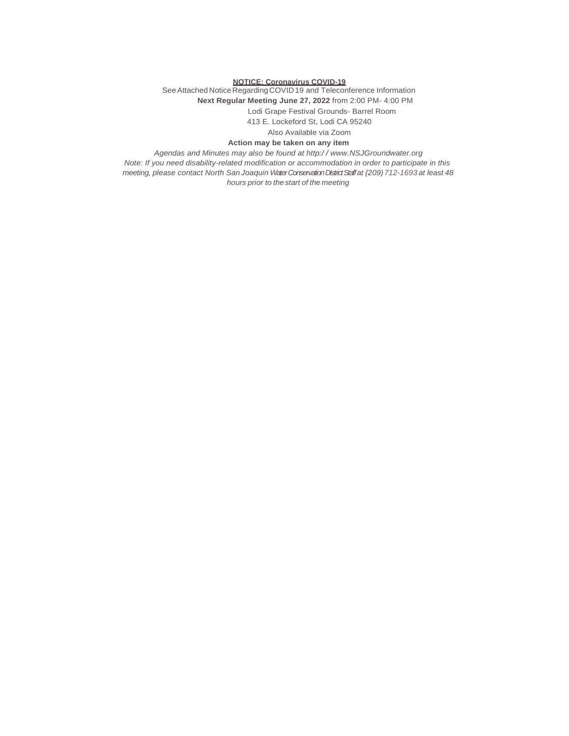#### **NOTICE: Coronavirus COVID-19**

See Attached Notice Regarding COVID 19 and Teleconference Information **Next Regular Meeting June 27, 2022** from 2:00 PM- 4:00 PM Lodi Grape Festival Grounds- Barrel Room 413 E. Lockeford St, Lodi CA 95240

Also Available via Zoom

#### **Action may be taken on any item**

*Agendas and Minutes may also be found at http:/ / www.NSJGroundwater.org Note: If you need disability-related modification or accommodation in order to participate in this meeting, please contact North San Joaquin Water Conservation District Staffat {209)712-1693 at least 48 hours prior to thestart of the meeting*